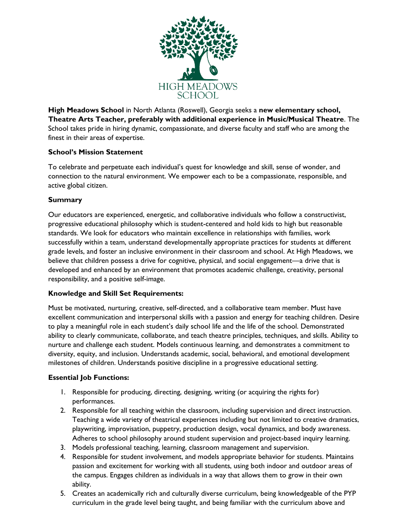

**High Meadows School** in North Atlanta (Roswell), Georgia seeks a **new elementary school, Theatre Arts Teacher, preferably with additional experience in Music/Musical Theatre**. The School takes pride in hiring dynamic, compassionate, and diverse faculty and staff who are among the finest in their areas of expertise.

## **School's Mission Statement**

To celebrate and perpetuate each individual's quest for knowledge and skill, sense of wonder, and connection to the natural environment. We empower each to be a compassionate, responsible, and active global citizen.

#### **Summary**

Our educators are experienced, energetic, and collaborative individuals who follow a constructivist, progressive educational philosophy which is student-centered and hold kids to high but reasonable standards. We look for educators who maintain excellence in relationships with families, work successfully within a team, understand developmentally appropriate practices for students at different grade levels, and foster an inclusive environment in their classroom and school. At High Meadows, we believe that children possess a drive for cognitive, physical, and social engagement—a drive that is developed and enhanced by an environment that promotes academic challenge, creativity, personal responsibility, and a positive self-image.

#### **Knowledge and Skill Set Requirements:**

Must be motivated, nurturing, creative, self-directed, and a collaborative team member. Must have excellent communication and interpersonal skills with a passion and energy for teaching children. Desire to play a meaningful role in each student's daily school life and the life of the school. Demonstrated ability to clearly communicate, collaborate, and teach theatre principles, techniques, and skills. Ability to nurture and challenge each student. Models continuous learning, and demonstrates a commitment to diversity, equity, and inclusion. Understands academic, social, behavioral, and emotional development milestones of children. Understands positive discipline in a progressive educational setting.

## **Essential Job Functions:**

- 1. Responsible for producing, directing, designing, writing (or acquiring the rights for) performances.
- 2. Responsible for all teaching within the classroom, including supervision and direct instruction. Teaching a wide variety of theatrical experiences including but not limited to creative dramatics, playwriting, improvisation, puppetry, production design, vocal dynamics, and body awareness. Adheres to school philosophy around student supervision and project-based inquiry learning.
- 3. Models professional teaching, learning, classroom management and supervision.
- 4. Responsible for student involvement, and models appropriate behavior for students. Maintains passion and excitement for working with all students, using both indoor and outdoor areas of the campus. Engages children as individuals in a way that allows them to grow in their own ability.
- 5. Creates an academically rich and culturally diverse curriculum, being knowledgeable of the PYP curriculum in the grade level being taught, and being familiar with the curriculum above and